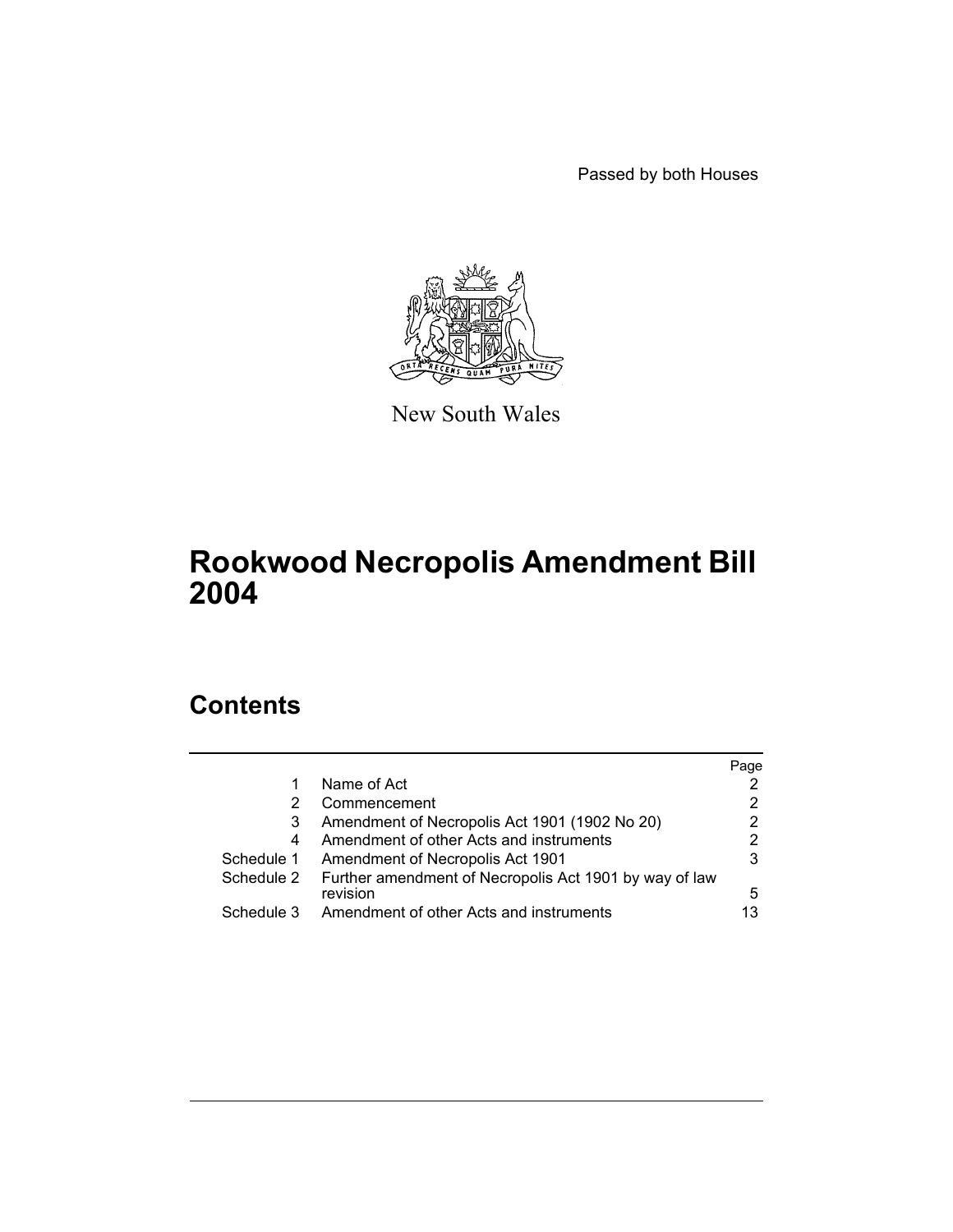Passed by both Houses



New South Wales

# **Rookwood Necropolis Amendment Bill 2004**

# **Contents**

|            |                                                                    | Page |
|------------|--------------------------------------------------------------------|------|
|            | Name of Act                                                        |      |
|            | Commencement                                                       |      |
| 3          | Amendment of Necropolis Act 1901 (1902 No 20)                      |      |
| 4          | Amendment of other Acts and instruments                            |      |
| Schedule 1 | Amendment of Necropolis Act 1901                                   | 3    |
| Schedule 2 | Further amendment of Necropolis Act 1901 by way of law<br>revision | 5    |
| Schedule 3 | Amendment of other Acts and instruments                            | 13   |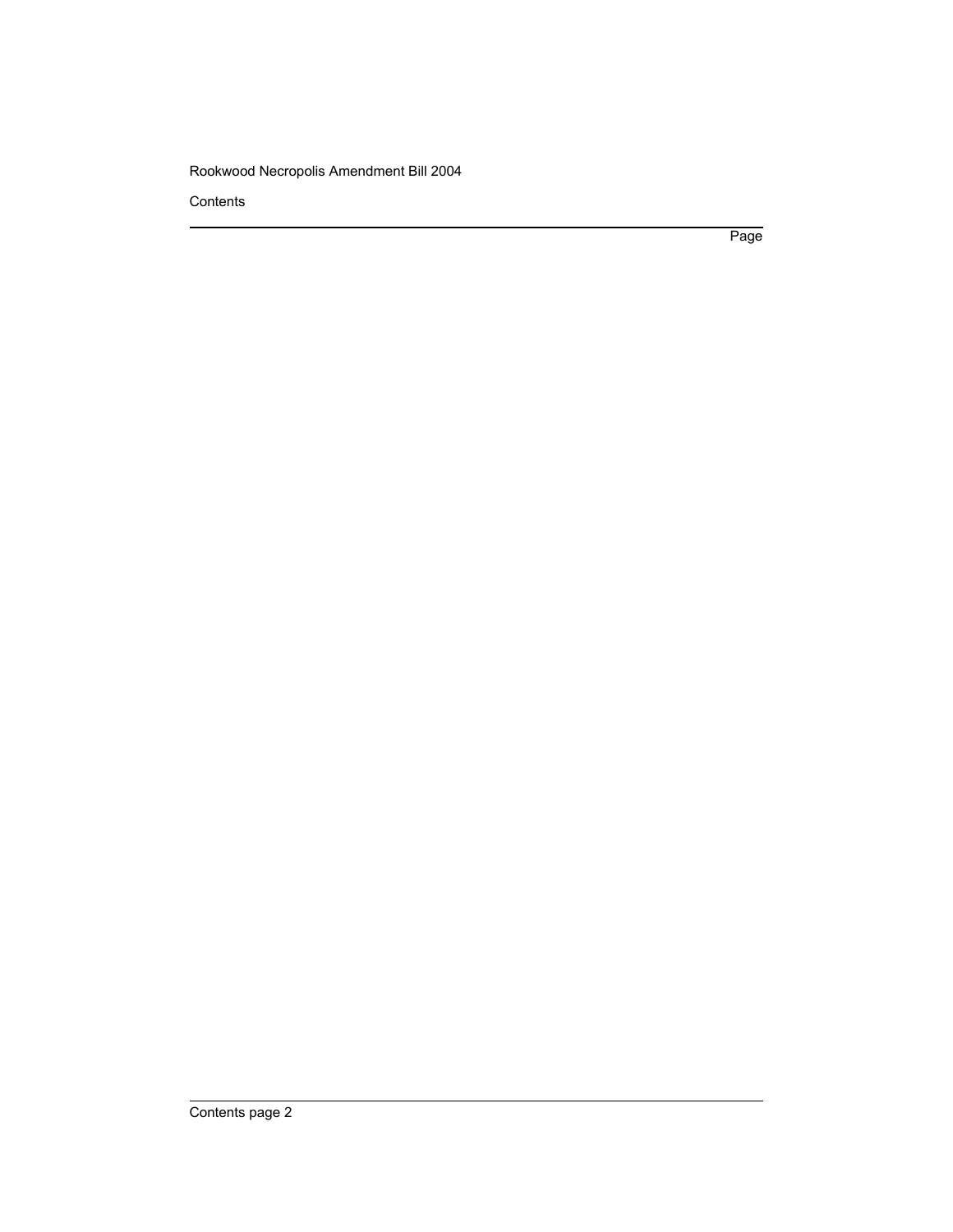**Contents** 

Page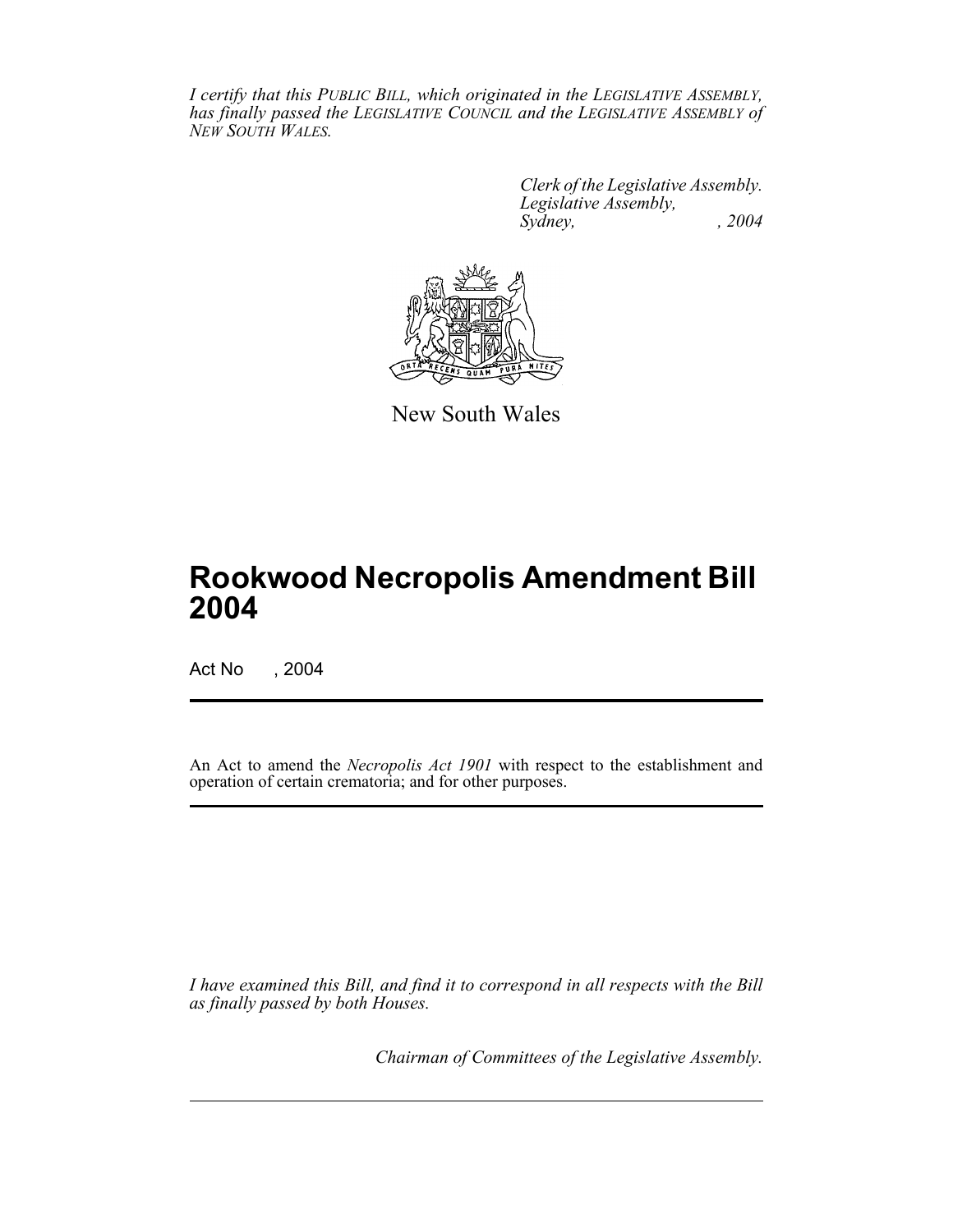*I certify that this PUBLIC BILL, which originated in the LEGISLATIVE ASSEMBLY, has finally passed the LEGISLATIVE COUNCIL and the LEGISLATIVE ASSEMBLY of NEW SOUTH WALES.*

> *Clerk of the Legislative Assembly. Legislative Assembly, Sydney, , 2004*



New South Wales

# **Rookwood Necropolis Amendment Bill 2004**

Act No , 2004

An Act to amend the *Necropolis Act 1901* with respect to the establishment and operation of certain crematoria; and for other purposes.

*I have examined this Bill, and find it to correspond in all respects with the Bill as finally passed by both Houses.*

*Chairman of Committees of the Legislative Assembly.*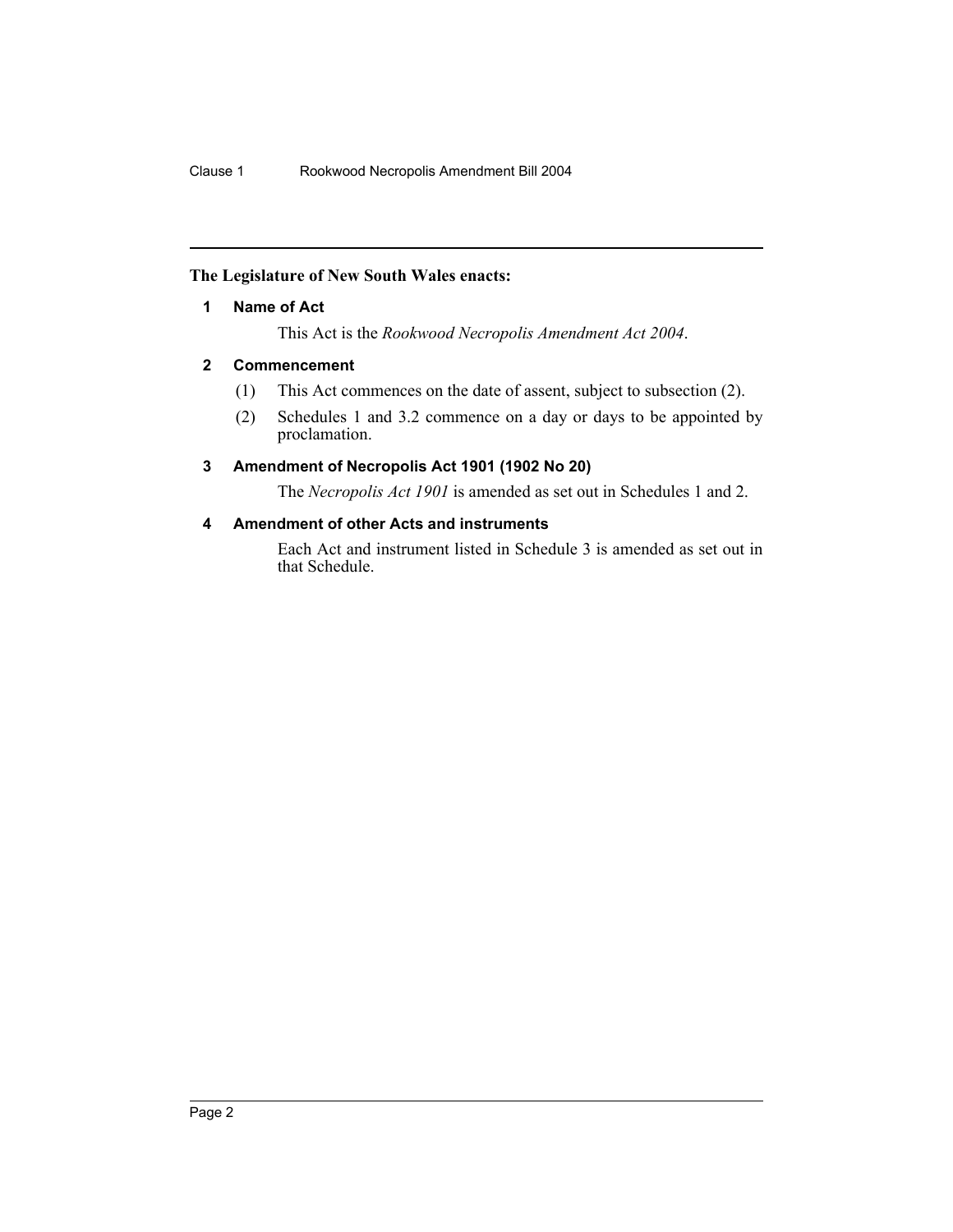#### **The Legislature of New South Wales enacts:**

#### **1 Name of Act**

This Act is the *Rookwood Necropolis Amendment Act 2004*.

#### <span id="page-3-0"></span>**2 Commencement**

- (1) This Act commences on the date of assent, subject to subsection (2).
- (2) Schedules 1 and 3.2 commence on a day or days to be appointed by proclamation.

#### <span id="page-3-1"></span>**3 Amendment of Necropolis Act 1901 (1902 No 20)**

The *Necropolis Act 1901* is amended as set out in Schedules 1 and 2.

#### <span id="page-3-2"></span>**4 Amendment of other Acts and instruments**

Each Act and instrument listed in Schedule 3 is amended as set out in that Schedule.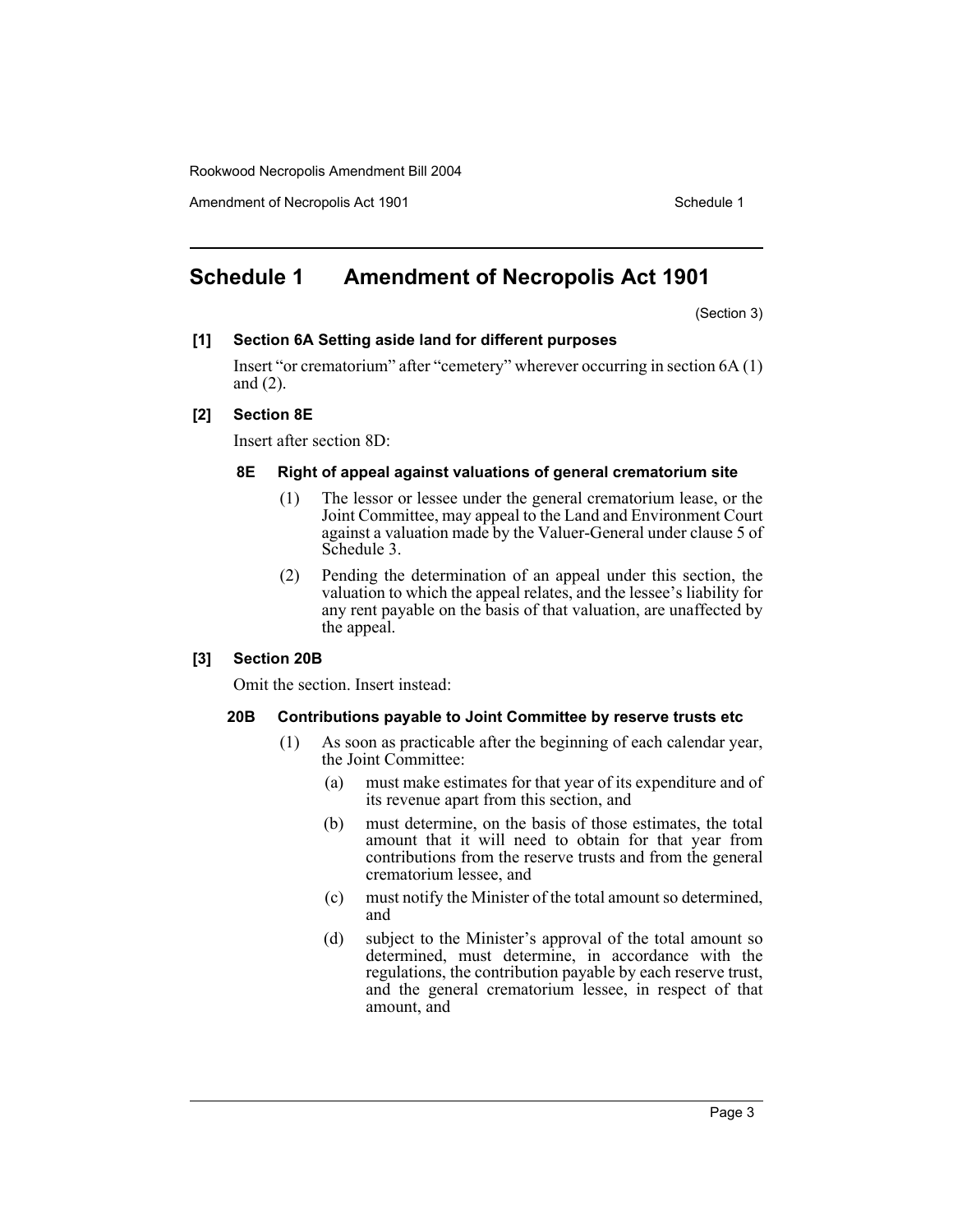Amendment of Necropolis Act 1901 Schedule 1

### <span id="page-4-0"></span>**Schedule 1 Amendment of Necropolis Act 1901**

(Section 3)

#### **[1] Section 6A Setting aside land for different purposes**

Insert "or crematorium" after "cemetery" wherever occurring in section 6A (1) and (2).

#### **[2] Section 8E**

Insert after section 8D:

#### **8E Right of appeal against valuations of general crematorium site**

- (1) The lessor or lessee under the general crematorium lease, or the Joint Committee, may appeal to the Land and Environment Court against a valuation made by the Valuer-General under clause 5 of Schedule 3.
- (2) Pending the determination of an appeal under this section, the valuation to which the appeal relates, and the lessee's liability for any rent payable on the basis of that valuation, are unaffected by the appeal.

#### **[3] Section 20B**

Omit the section. Insert instead:

#### **20B Contributions payable to Joint Committee by reserve trusts etc**

- (1) As soon as practicable after the beginning of each calendar year, the Joint Committee:
	- (a) must make estimates for that year of its expenditure and of its revenue apart from this section, and
	- (b) must determine, on the basis of those estimates, the total amount that it will need to obtain for that year from contributions from the reserve trusts and from the general crematorium lessee, and
	- (c) must notify the Minister of the total amount so determined, and
	- (d) subject to the Minister's approval of the total amount so determined, must determine, in accordance with the regulations, the contribution payable by each reserve trust, and the general crematorium lessee, in respect of that amount, and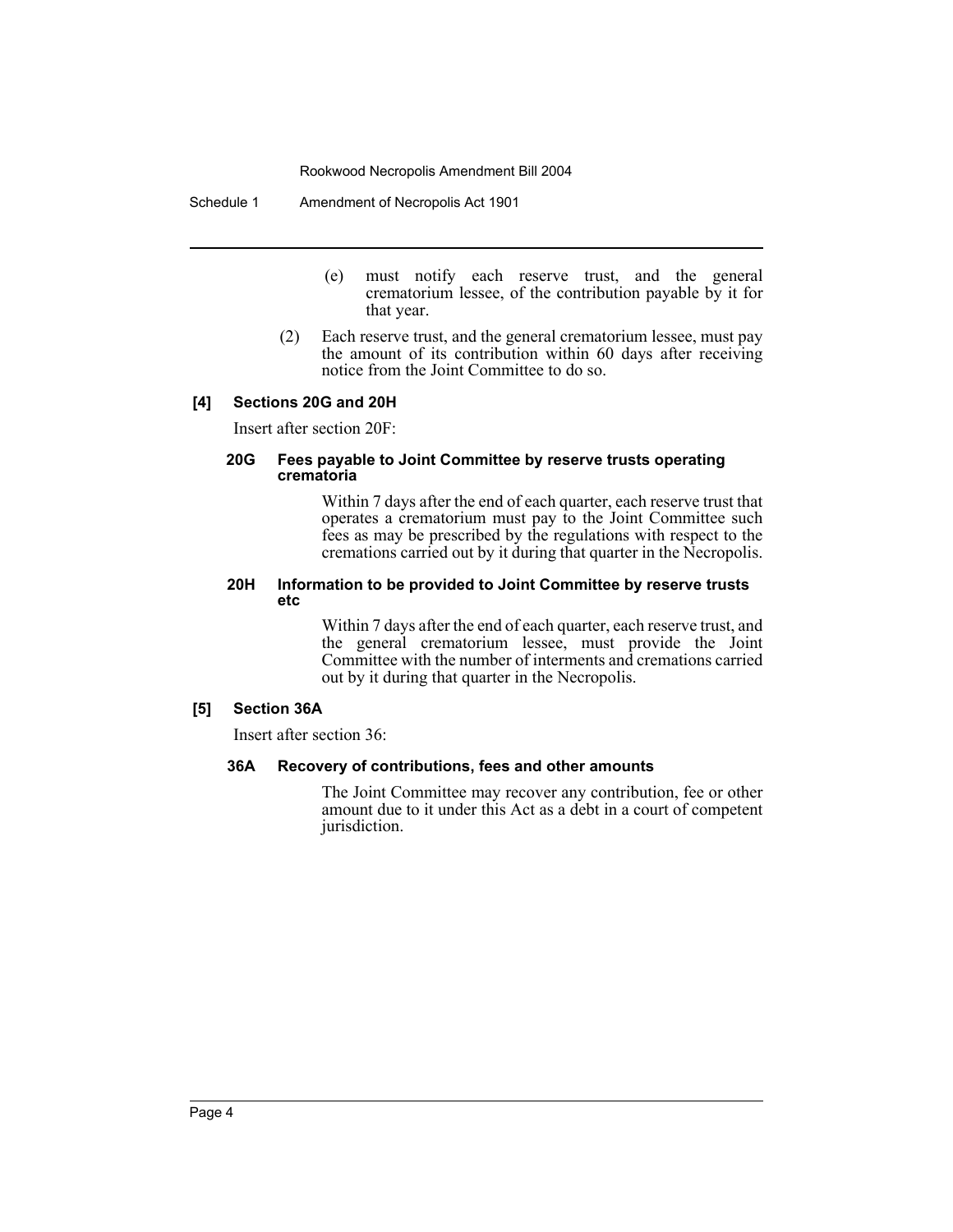Schedule 1 Amendment of Necropolis Act 1901

- (e) must notify each reserve trust, and the general crematorium lessee, of the contribution payable by it for that year.
- (2) Each reserve trust, and the general crematorium lessee, must pay the amount of its contribution within 60 days after receiving notice from the Joint Committee to do so.

#### **[4] Sections 20G and 20H**

Insert after section 20F:

#### **20G Fees payable to Joint Committee by reserve trusts operating crematoria**

Within 7 days after the end of each quarter, each reserve trust that operates a crematorium must pay to the Joint Committee such fees as may be prescribed by the regulations with respect to the cremations carried out by it during that quarter in the Necropolis.

#### **20H Information to be provided to Joint Committee by reserve trusts etc**

Within 7 days after the end of each quarter, each reserve trust, and the general crematorium lessee, must provide the Joint Committee with the number of interments and cremations carried out by it during that quarter in the Necropolis.

#### **[5] Section 36A**

Insert after section 36:

#### **36A Recovery of contributions, fees and other amounts**

The Joint Committee may recover any contribution, fee or other amount due to it under this Act as a debt in a court of competent jurisdiction.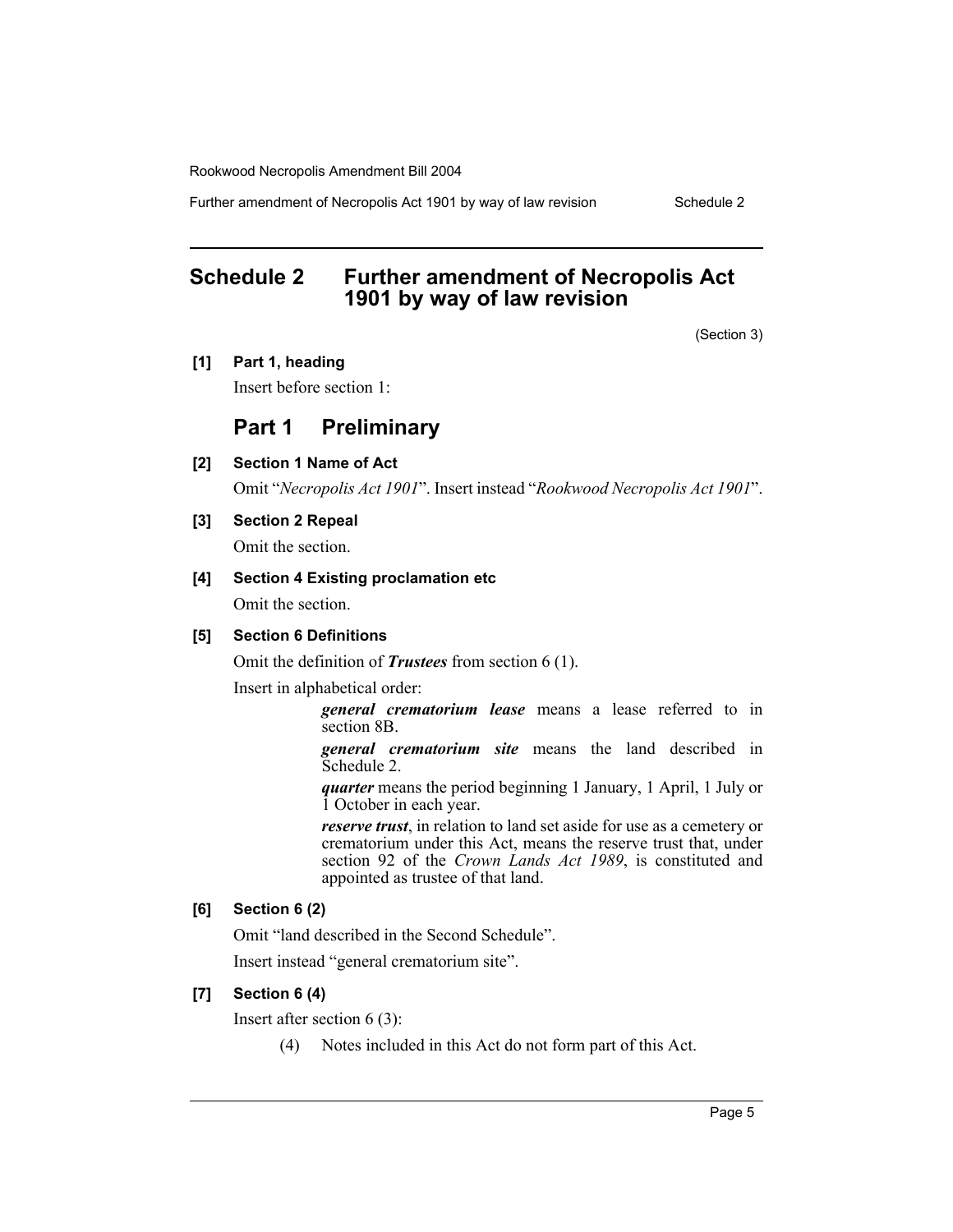Further amendment of Necropolis Act 1901 by way of law revision Schedule 2

### <span id="page-6-0"></span>**Schedule 2 Further amendment of Necropolis Act 1901 by way of law revision**

(Section 3)

**[1] Part 1, heading**

Insert before section 1:

### **Part 1 Preliminary**

#### **[2] Section 1 Name of Act**

Omit "*Necropolis Act 1901*". Insert instead "*Rookwood Necropolis Act 1901*".

**[3] Section 2 Repeal**

Omit the section.

#### **[4] Section 4 Existing proclamation etc**

Omit the section.

#### **[5] Section 6 Definitions**

Omit the definition of *Trustees* from section 6 (1).

Insert in alphabetical order:

*general crematorium lease* means a lease referred to in section 8B.

*general crematorium site* means the land described in Schedule 2.

*quarter* means the period beginning 1 January, 1 April, 1 July or 1 October in each year.

*reserve trust*, in relation to land set aside for use as a cemetery or crematorium under this Act, means the reserve trust that, under section 92 of the *Crown Lands Act 1989*, is constituted and appointed as trustee of that land.

#### **[6] Section 6 (2)**

Omit "land described in the Second Schedule".

Insert instead "general crematorium site".

#### **[7] Section 6 (4)**

Insert after section 6 (3):

(4) Notes included in this Act do not form part of this Act.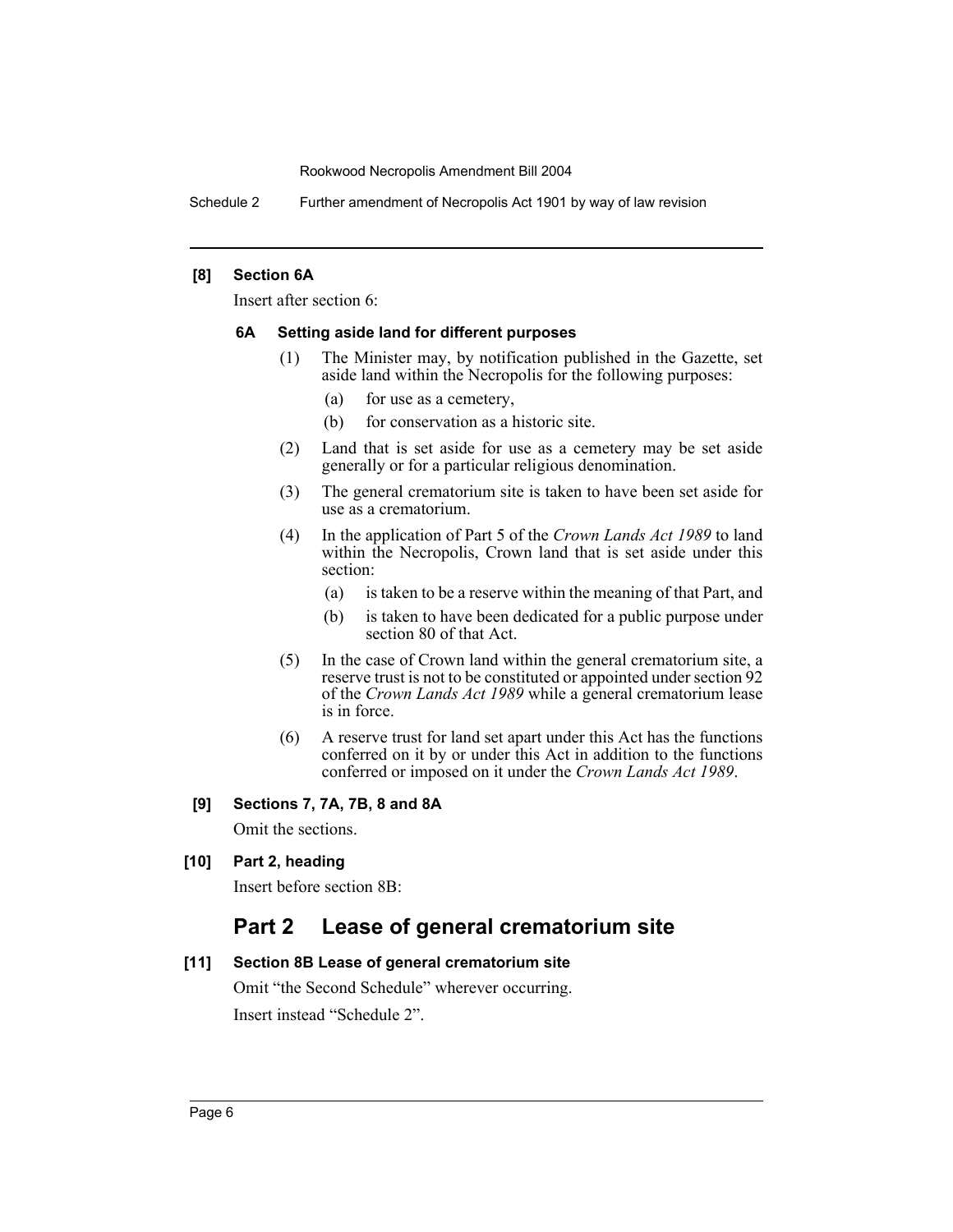Schedule 2 Further amendment of Necropolis Act 1901 by way of law revision

#### **[8] Section 6A**

Insert after section 6:

#### **6A Setting aside land for different purposes**

- (1) The Minister may, by notification published in the Gazette, set aside land within the Necropolis for the following purposes:
	- (a) for use as a cemetery,
	- (b) for conservation as a historic site.
- (2) Land that is set aside for use as a cemetery may be set aside generally or for a particular religious denomination.
- (3) The general crematorium site is taken to have been set aside for use as a crematorium.
- (4) In the application of Part 5 of the *Crown Lands Act 1989* to land within the Necropolis, Crown land that is set aside under this section:
	- (a) is taken to be a reserve within the meaning of that Part, and
	- (b) is taken to have been dedicated for a public purpose under section 80 of that Act.
- (5) In the case of Crown land within the general crematorium site, a reserve trust is not to be constituted or appointed under section 92 of the *Crown Lands Act 1989* while a general crematorium lease is in force.
- (6) A reserve trust for land set apart under this Act has the functions conferred on it by or under this Act in addition to the functions conferred or imposed on it under the *Crown Lands Act 1989*.

#### **[9] Sections 7, 7A, 7B, 8 and 8A**

Omit the sections.

**[10] Part 2, heading**

Insert before section 8B:

## **Part 2 Lease of general crematorium site**

#### **[11] Section 8B Lease of general crematorium site**

Omit "the Second Schedule" wherever occurring. Insert instead "Schedule 2".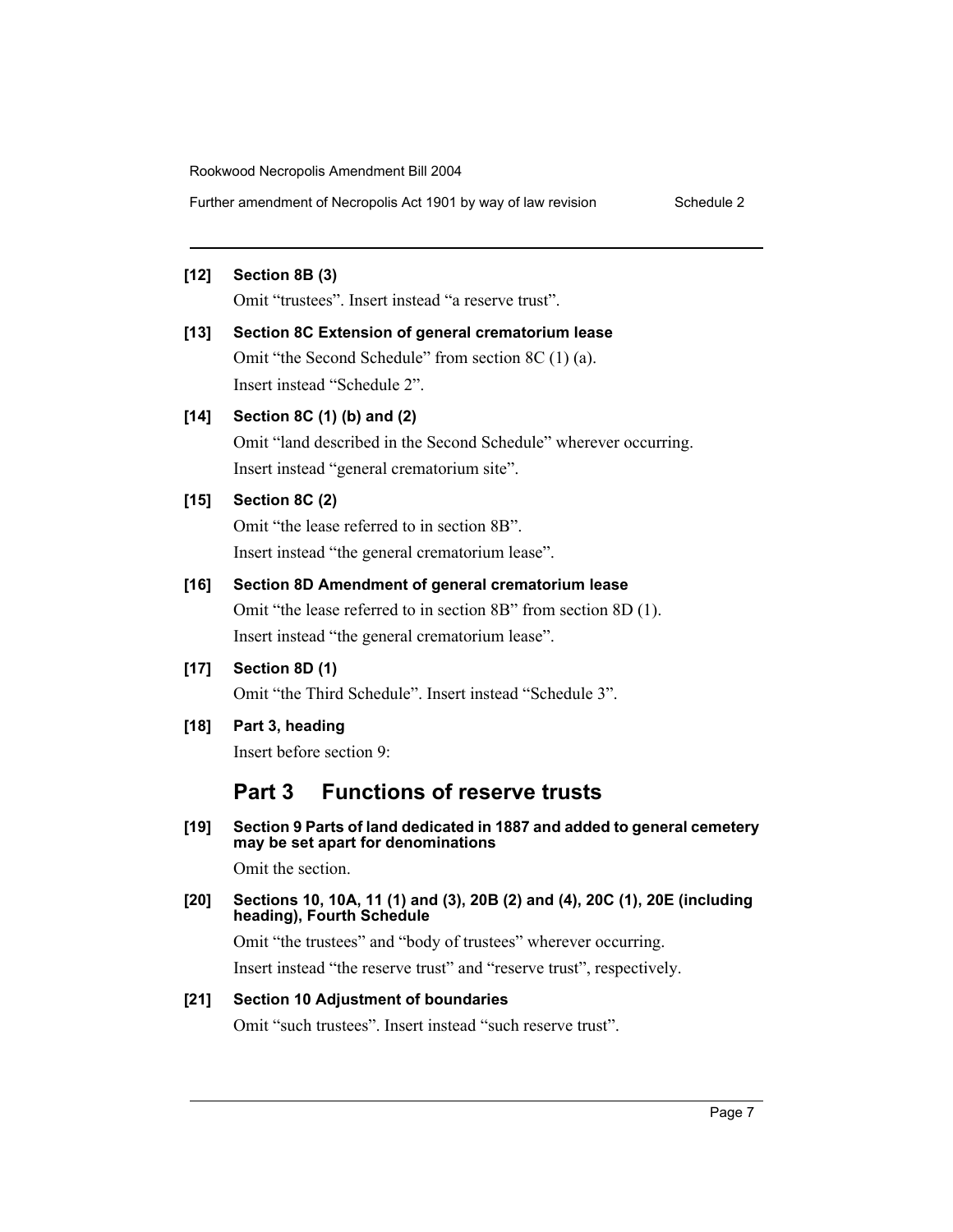Further amendment of Necropolis Act 1901 by way of law revision Schedule 2

#### **[12] Section 8B (3)**

Omit "trustees". Insert instead "a reserve trust".

### **[13] Section 8C Extension of general crematorium lease** Omit "the Second Schedule" from section 8C (1) (a). Insert instead "Schedule 2".

#### **[14] Section 8C (1) (b) and (2)**

Omit "land described in the Second Schedule" wherever occurring. Insert instead "general crematorium site".

#### **[15] Section 8C (2)**

Omit "the lease referred to in section 8B". Insert instead "the general crematorium lease".

#### **[16] Section 8D Amendment of general crematorium lease**

Omit "the lease referred to in section 8B" from section 8D (1). Insert instead "the general crematorium lease".

#### **[17] Section 8D (1)**

Omit "the Third Schedule". Insert instead "Schedule 3".

#### **[18] Part 3, heading**

Insert before section 9:

### **Part 3 Functions of reserve trusts**

**[19] Section 9 Parts of land dedicated in 1887 and added to general cemetery may be set apart for denominations**

Omit the section.

#### **[20] Sections 10, 10A, 11 (1) and (3), 20B (2) and (4), 20C (1), 20E (including heading), Fourth Schedule**

Omit "the trustees" and "body of trustees" wherever occurring. Insert instead "the reserve trust" and "reserve trust", respectively.

#### **[21] Section 10 Adjustment of boundaries**

Omit "such trustees". Insert instead "such reserve trust".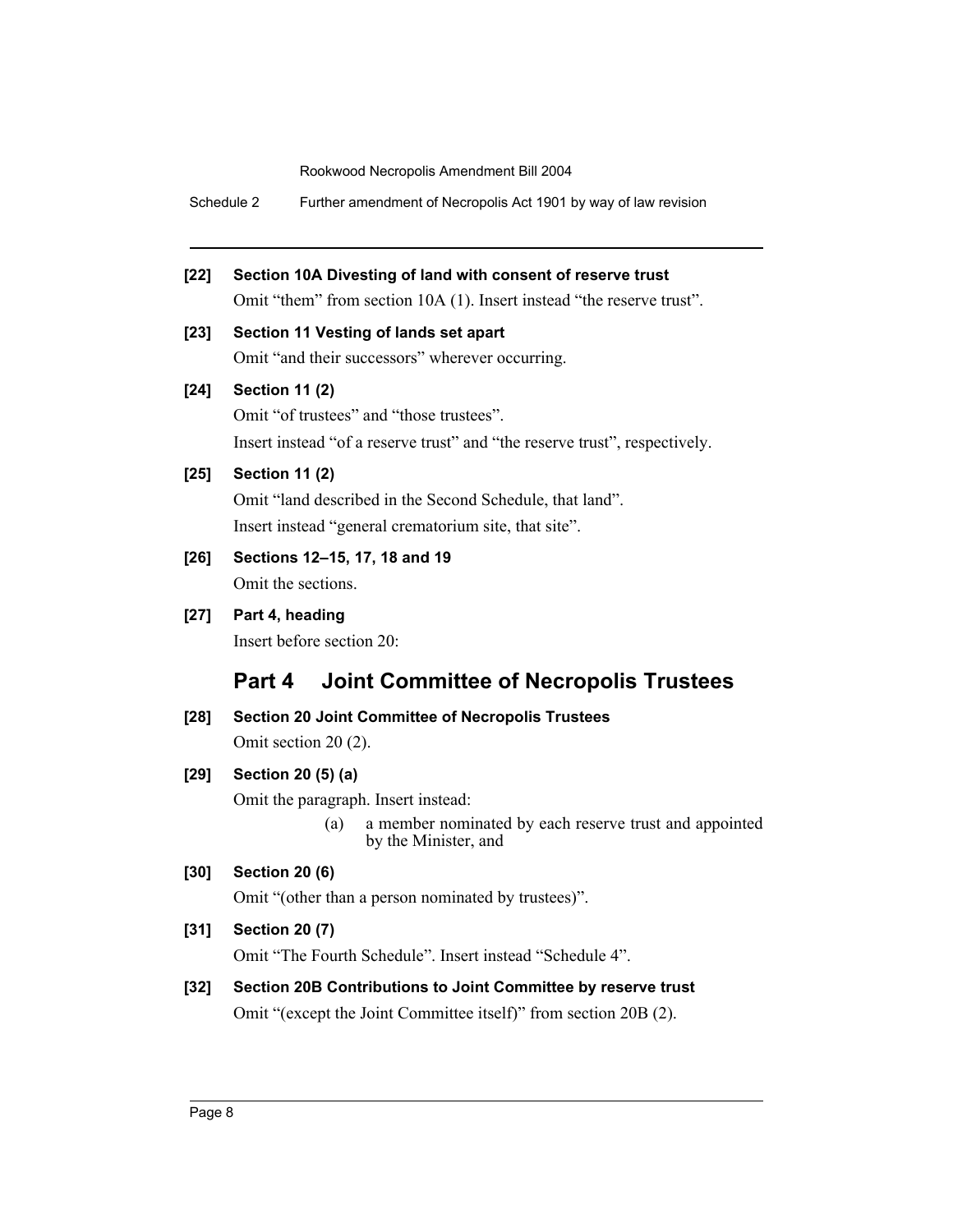Schedule 2 Further amendment of Necropolis Act 1901 by way of law revision

#### **[22] Section 10A Divesting of land with consent of reserve trust**

Omit "them" from section 10A (1). Insert instead "the reserve trust".

#### **[23] Section 11 Vesting of lands set apart**

Omit "and their successors" wherever occurring.

#### **[24] Section 11 (2)**

Omit "of trustees" and "those trustees". Insert instead "of a reserve trust" and "the reserve trust", respectively.

#### **[25] Section 11 (2)**

Omit "land described in the Second Schedule, that land". Insert instead "general crematorium site, that site".

#### **[26] Sections 12–15, 17, 18 and 19**

Omit the sections.

#### **[27] Part 4, heading**

Insert before section 20:

### **Part 4 Joint Committee of Necropolis Trustees**

**[28] Section 20 Joint Committee of Necropolis Trustees** Omit section 20 (2).

#### **[29] Section 20 (5) (a)**

Omit the paragraph. Insert instead:

(a) a member nominated by each reserve trust and appointed by the Minister, and

### **[30] Section 20 (6)**

Omit "(other than a person nominated by trustees)".

#### **[31] Section 20 (7)**

Omit "The Fourth Schedule". Insert instead "Schedule 4".

#### **[32] Section 20B Contributions to Joint Committee by reserve trust**

Omit "(except the Joint Committee itself)" from section 20B (2).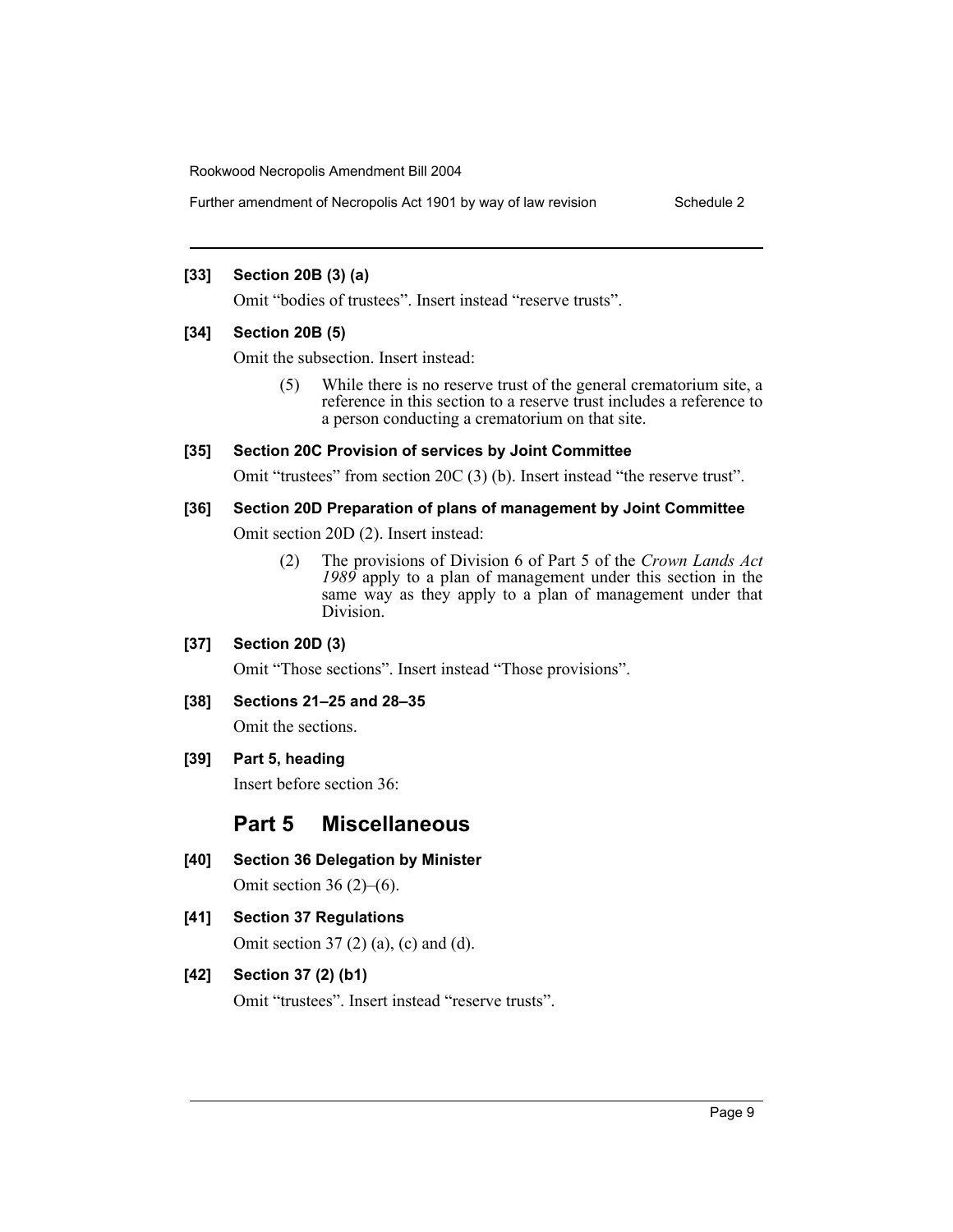Further amendment of Necropolis Act 1901 by way of law revision Schedule 2

#### **[33] Section 20B (3) (a)**

Omit "bodies of trustees". Insert instead "reserve trusts".

#### **[34] Section 20B (5)**

Omit the subsection. Insert instead:

(5) While there is no reserve trust of the general crematorium site, a reference in this section to a reserve trust includes a reference to a person conducting a crematorium on that site.

#### **[35] Section 20C Provision of services by Joint Committee**

Omit "trustees" from section 20C (3) (b). Insert instead "the reserve trust".

#### **[36] Section 20D Preparation of plans of management by Joint Committee**

Omit section 20D (2). Insert instead:

(2) The provisions of Division 6 of Part 5 of the *Crown Lands Act 1989* apply to a plan of management under this section in the same way as they apply to a plan of management under that Division.

#### **[37] Section 20D (3)**

Omit "Those sections". Insert instead "Those provisions".

#### **[38] Sections 21–25 and 28–35**

Omit the sections.

#### **[39] Part 5, heading**

Insert before section 36:

### **Part 5 Miscellaneous**

**[40] Section 36 Delegation by Minister** Omit section 36  $(2)$ – $(6)$ .

### **[41] Section 37 Regulations** Omit section 37 (2) (a), (c) and (d).

#### **[42] Section 37 (2) (b1)**

Omit "trustees". Insert instead "reserve trusts".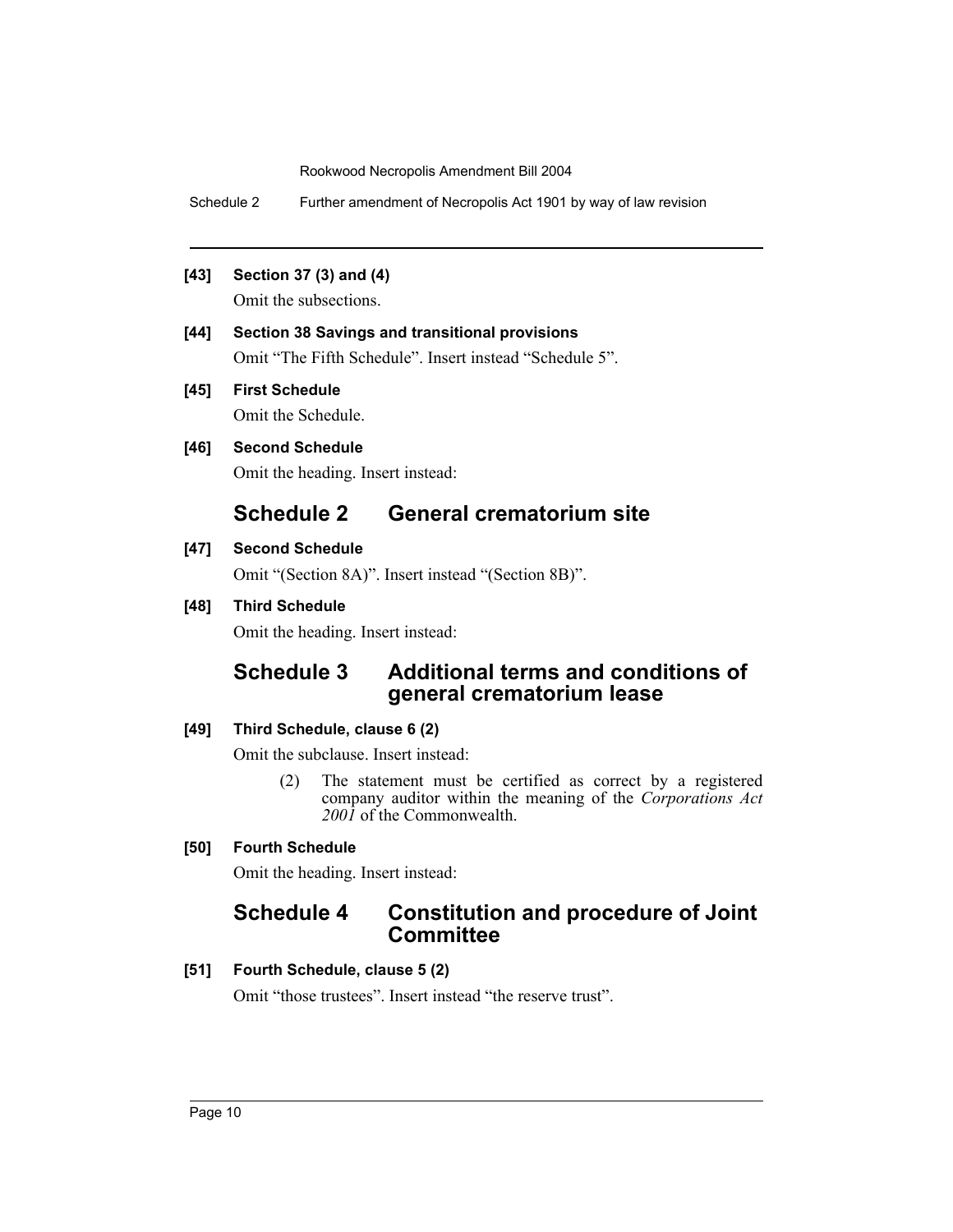Schedule 2 Further amendment of Necropolis Act 1901 by way of law revision

#### **[43] Section 37 (3) and (4)**

Omit the subsections.

#### **[44] Section 38 Savings and transitional provisions**

Omit "The Fifth Schedule". Insert instead "Schedule 5".

#### **[45] First Schedule**

Omit the Schedule.

#### **[46] Second Schedule**

Omit the heading. Insert instead:

### **Schedule 2 General crematorium site**

#### **[47] Second Schedule**

Omit "(Section 8A)". Insert instead "(Section 8B)".

#### **[48] Third Schedule**

Omit the heading. Insert instead:

### **Schedule 3 Additional terms and conditions of general crematorium lease**

#### **[49] Third Schedule, clause 6 (2)**

Omit the subclause. Insert instead:

(2) The statement must be certified as correct by a registered company auditor within the meaning of the *Corporations Act 2001* of the Commonwealth.

#### **[50] Fourth Schedule**

Omit the heading. Insert instead:

### **Schedule 4 Constitution and procedure of Joint Committee**

#### **[51] Fourth Schedule, clause 5 (2)**

Omit "those trustees". Insert instead "the reserve trust".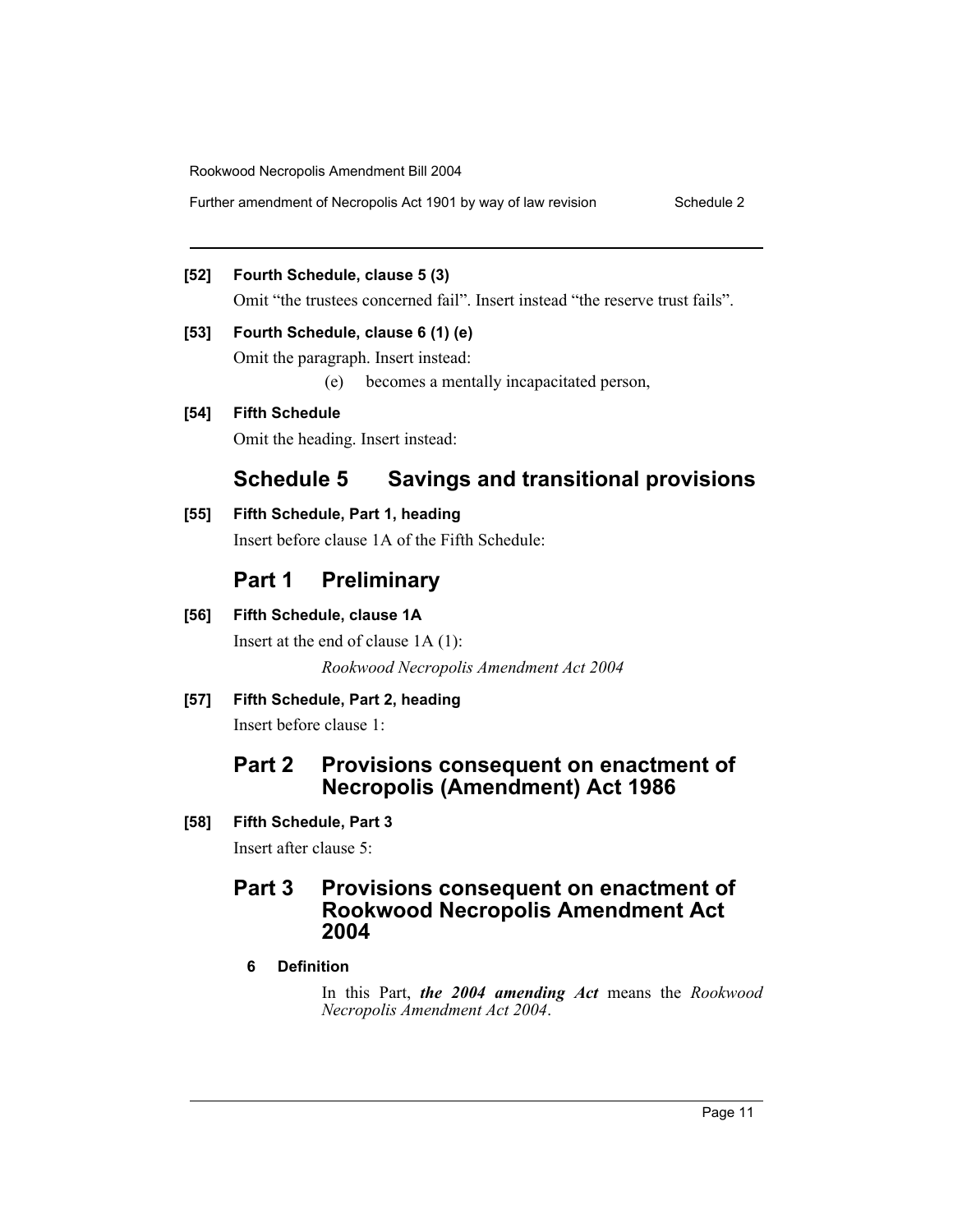Further amendment of Necropolis Act 1901 by way of law revision Schedule 2

#### **[52] Fourth Schedule, clause 5 (3)**

Omit "the trustees concerned fail". Insert instead "the reserve trust fails".

#### **[53] Fourth Schedule, clause 6 (1) (e)**

Omit the paragraph. Insert instead:

(e) becomes a mentally incapacitated person,

#### **[54] Fifth Schedule**

Omit the heading. Insert instead:

### **Schedule 5 Savings and transitional provisions**

### **[55] Fifth Schedule, Part 1, heading**

Insert before clause 1A of the Fifth Schedule:

### **Part 1 Preliminary**

#### **[56] Fifth Schedule, clause 1A**

Insert at the end of clause 1A (1): *Rookwood Necropolis Amendment Act 2004*

#### **[57] Fifth Schedule, Part 2, heading**

Insert before clause 1:

### **Part 2 Provisions consequent on enactment of Necropolis (Amendment) Act 1986**

#### **[58] Fifth Schedule, Part 3**

Insert after clause 5:

### **Part 3 Provisions consequent on enactment of Rookwood Necropolis Amendment Act 2004**

#### **6 Definition**

In this Part, *the 2004 amending Act* means the *Rookwood Necropolis Amendment Act 2004*.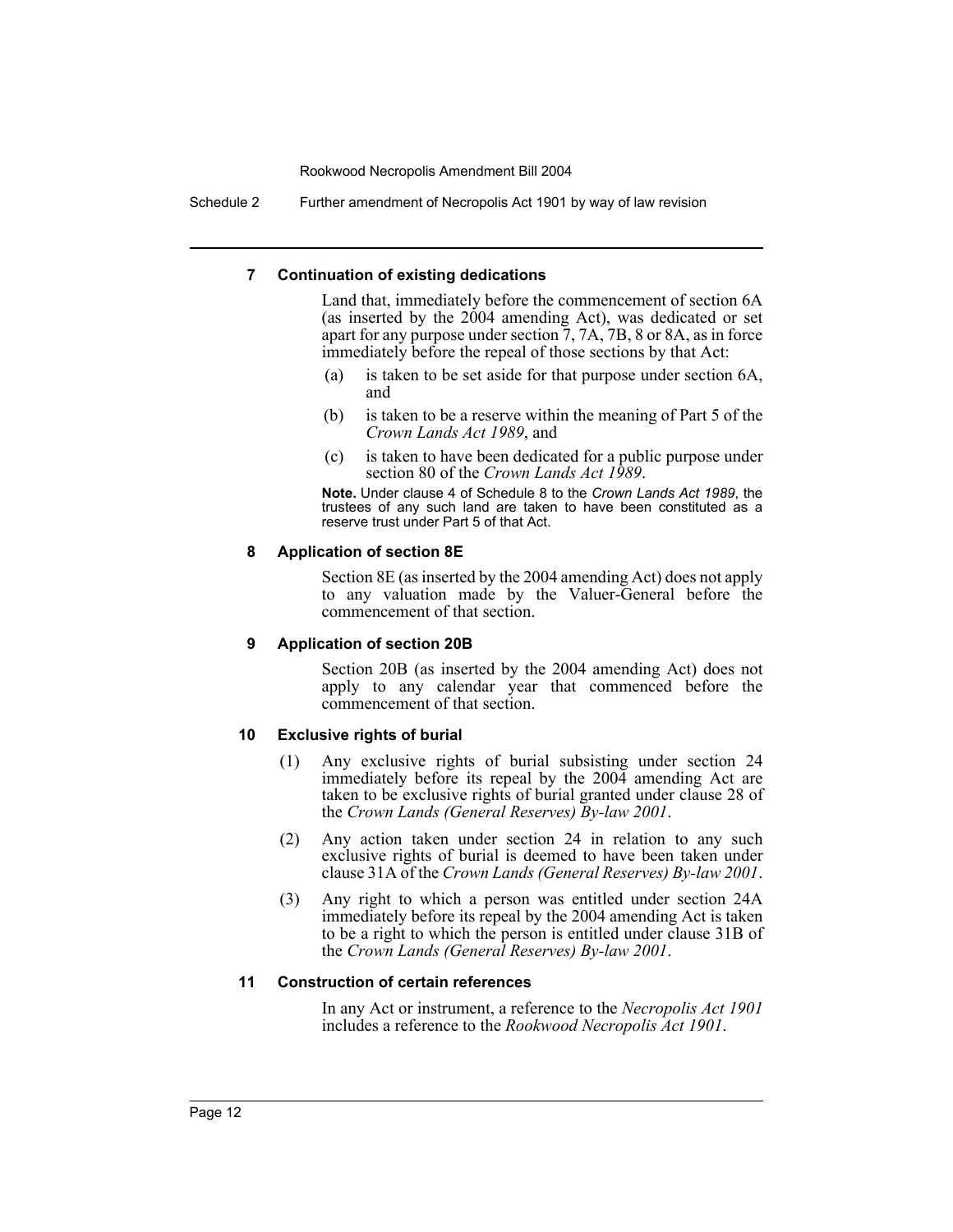Schedule 2 Further amendment of Necropolis Act 1901 by way of law revision

#### **7 Continuation of existing dedications**

Land that, immediately before the commencement of section 6A (as inserted by the 2004 amending Act), was dedicated or set apart for any purpose under section 7, 7A, 7B, 8 or 8A, as in force immediately before the repeal of those sections by that Act:

- (a) is taken to be set aside for that purpose under section 6A, and
- (b) is taken to be a reserve within the meaning of Part 5 of the *Crown Lands Act 1989*, and
- (c) is taken to have been dedicated for a public purpose under section 80 of the *Crown Lands Act 1989*.

**Note.** Under clause 4 of Schedule 8 to the *Crown Lands Act 1989*, the trustees of any such land are taken to have been constituted as a reserve trust under Part 5 of that Act.

#### **8 Application of section 8E**

Section 8E (as inserted by the 2004 amending Act) does not apply to any valuation made by the Valuer-General before the commencement of that section.

#### **9 Application of section 20B**

Section 20B (as inserted by the 2004 amending Act) does not apply to any calendar year that commenced before the commencement of that section.

#### **10 Exclusive rights of burial**

- (1) Any exclusive rights of burial subsisting under section 24 immediately before its repeal by the 2004 amending Act are taken to be exclusive rights of burial granted under clause 28 of the *Crown Lands (General Reserves) By-law 2001*.
- (2) Any action taken under section 24 in relation to any such exclusive rights of burial is deemed to have been taken under clause 31A of the *Crown Lands (General Reserves) By-law 2001*.
- (3) Any right to which a person was entitled under section 24A immediately before its repeal by the 2004 amending Act is taken to be a right to which the person is entitled under clause 31B of the *Crown Lands (General Reserves) By-law 2001*.

#### **11 Construction of certain references**

In any Act or instrument, a reference to the *Necropolis Act 1901* includes a reference to the *Rookwood Necropolis Act 1901*.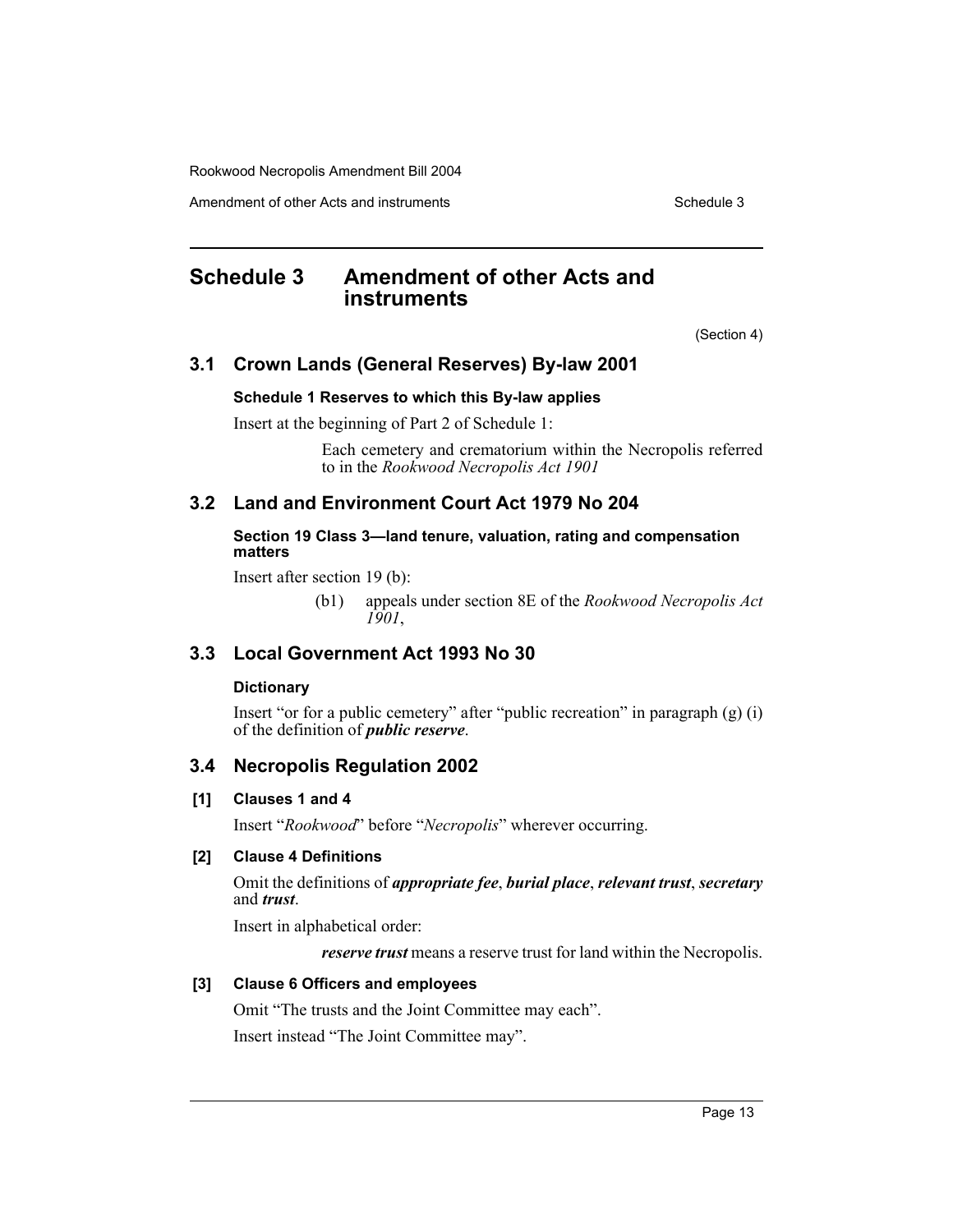Amendment of other Acts and instruments Schedule 3

### <span id="page-14-0"></span>**Schedule 3 Amendment of other Acts and instruments**

(Section 4)

#### **3.1 Crown Lands (General Reserves) By-law 2001**

#### **Schedule 1 Reserves to which this By-law applies**

Insert at the beginning of Part 2 of Schedule 1:

Each cemetery and crematorium within the Necropolis referred to in the *Rookwood Necropolis Act 1901*

### **3.2 Land and Environment Court Act 1979 No 204**

#### **Section 19 Class 3—land tenure, valuation, rating and compensation matters**

Insert after section 19 (b):

(b1) appeals under section 8E of the *Rookwood Necropolis Act 1901*,

### **3.3 Local Government Act 1993 No 30**

#### **Dictionary**

Insert "or for a public cemetery" after "public recreation" in paragraph (g) (i) of the definition of *public reserve*.

#### **3.4 Necropolis Regulation 2002**

#### **[1] Clauses 1 and 4**

Insert "*Rookwood*" before "*Necropolis*" wherever occurring.

#### **[2] Clause 4 Definitions**

Omit the definitions of *appropriate fee*, *burial place*, *relevant trust*, *secretary* and *trust*.

Insert in alphabetical order:

*reserve trust* means a reserve trust for land within the Necropolis.

#### **[3] Clause 6 Officers and employees**

Omit "The trusts and the Joint Committee may each".

Insert instead "The Joint Committee may".